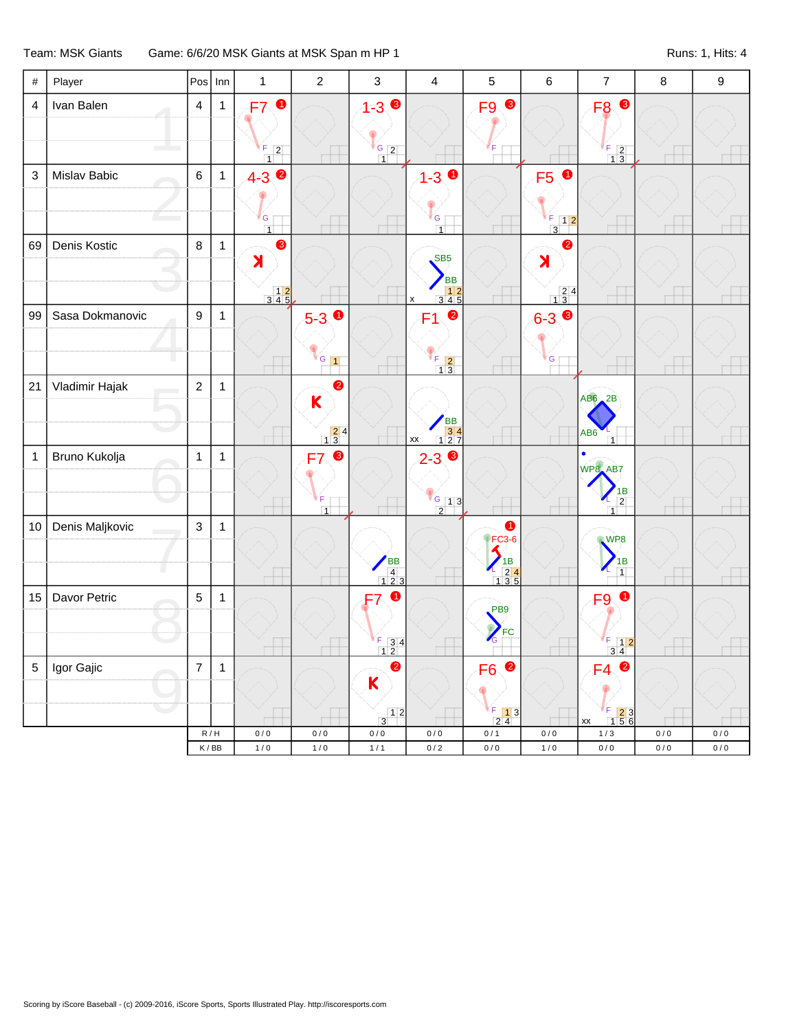## Team: MSK Giants Game: 6/6/20 MSK Giants at MSK Span m HP 1 Runs: 1, Hits: 4

| $\#$           | Player          |                | $Pos$ Inn    | $\mathbf{1}$                                                            | $\overline{2}$                                                                        | $\mathbf{3}$                                                          | $\overline{\mathbf{4}}$                                                                                                       | $\sqrt{5}$                                                                                                | $\,6$                                                     | $\overline{\mathbf{7}}$                                                                                            | $\bf 8$ | $\boldsymbol{9}$ |
|----------------|-----------------|----------------|--------------|-------------------------------------------------------------------------|---------------------------------------------------------------------------------------|-----------------------------------------------------------------------|-------------------------------------------------------------------------------------------------------------------------------|-----------------------------------------------------------------------------------------------------------|-----------------------------------------------------------|--------------------------------------------------------------------------------------------------------------------|---------|------------------|
| $\overline{4}$ | Ivan Balen      | $\overline{4}$ | $\mathbf{1}$ | <b>F70</b><br>$\begin{bmatrix} 5 & 2 \\ 1 & 2 \end{bmatrix}$            |                                                                                       | $1 - 3$ $\bullet$<br>$\frac{6}{1}$ 2                                  |                                                                                                                               | F <sub>9</sub>                                                                                            |                                                           | F <sub>8</sub> <sup>O</sup><br>$\frac{F}{1}$ $\frac{2}{3}$                                                         |         |                  |
| 3              | Mislav Babic    | $\,6\,$        | $\mathbf{1}$ | $4 - 3$ $\bullet$<br>${\mathsf G}$<br>$\overline{1}$                    |                                                                                       |                                                                       | $4 - 3$ 0<br>G  <br>$\overline{1}$                                                                                            |                                                                                                           | F5 0<br>F<br>$\begin{array}{c} 5 \ 3 \ \end{array}$       | ш                                                                                                                  |         |                  |
| 69             | Denis Kostic    | 8              | $\mathbf{1}$ | ❸<br>$\lambda$<br>$\begin{array}{c c} & 1 & 2 \\ 3 & 4 & 5 \end{array}$ |                                                                                       |                                                                       | SB <sub>5</sub><br><b>BB</b><br>$\begin{array}{ c c c }\n\hline\n3 & 4 & 5 \\ \hline\n3 & 4 & 5\n\end{array}$<br>$\mathsf{x}$ |                                                                                                           | 0<br>$\lambda$<br>$\begin{array}{r} 24 \\ 13 \end{array}$ |                                                                                                                    |         |                  |
| 99             | Sasa Dokmanovic | $\mathsf g$    | $\mathbf{1}$ |                                                                         | $5-3$ 0<br>$V_G$ 1                                                                    |                                                                       | $\bullet$<br>F1<br>$\begin{array}{c c}\nF & 2 \\ \hline\n1 & 3\n\end{array}$                                                  |                                                                                                           | $6 - 3$<br>G                                              |                                                                                                                    |         |                  |
| 21             | Vladimir Hajak  | $\overline{2}$ | $\mathbf{1}$ |                                                                         | $\bullet$<br>K<br>$\begin{array}{ c c }\n\hline\n2 & 4 \\ \hline\n1 & 3\n\end{array}$ |                                                                       | BB<br>34<br>127<br>$\mathsf{X}\mathsf{X}$                                                                                     |                                                                                                           |                                                           | $AB6$ $2B$<br>AB <sub>6</sub><br>$\overline{1}$                                                                    |         |                  |
| $\mathbf{1}$   | Bruno Kukolja   | $\mathbf{1}$   | $\mathbf{1}$ |                                                                         | ❸<br>F7<br>F<br>$\overline{1}$                                                        |                                                                       | $2 - 3$<br>$\frac{1}{2}$ 1 3                                                                                                  |                                                                                                           |                                                           | WP8_AB7<br>1B<br>$\overline{2}$<br>$\overline{1}$                                                                  |         |                  |
| 10             | Denis Maljkovic | $\mathbf{3}$   | $\mathbf{1}$ |                                                                         |                                                                                       | $\begin{array}{c}\n\overline{AB} \\ \overline{4} \\ 123\n\end{array}$ |                                                                                                                               | 0<br>$\blacktriangleright$ FC3-6<br>$\blacktriangleleft$<br>$\frac{18}{135}$                              |                                                           | WP8<br>$\frac{1}{1}$                                                                                               |         |                  |
| 15             | Davor Petric    | $\overline{5}$ | $\mathbf{1}$ |                                                                         |                                                                                       | $\bullet$<br>$\frac{1}{1}$ 3 4                                        |                                                                                                                               | PB9<br>Z<br>FC                                                                                            |                                                           | F <sub>9</sub> O<br>$\begin{array}{c c}\nF & 12 \\ 34\n\end{array}$                                                |         |                  |
| 5              | Igor Gajic      | $\overline{7}$ | $\mathbf{1}$ |                                                                         |                                                                                       | $\bullet$<br>$\mathbf K$<br>$\frac{1}{3}$ 1 2                         |                                                                                                                               | $\bullet$<br>F <sub>6</sub><br>$\begin{array}{ c c }\n\hline\nF & 1 & 3 \\ \hline\n2 & 4 & \n\end{array}$ |                                                           | $\bullet$<br>F4<br>$\begin{array}{ c c }\n\hline\n\text{F} & \text{2} & 3 \\ \hline\n1 & 5 & 6\n\end{array}$<br>xx |         |                  |
|                |                 |                | R/H          | 0/0                                                                     | 0/0                                                                                   | 0/0                                                                   | 0/0                                                                                                                           | 0/1                                                                                                       | 0/0                                                       | 1/3                                                                                                                | 0/0     | 0/0              |
|                |                 |                | K/BB         | 1/0                                                                     | 1/0                                                                                   | 1/1                                                                   | 0/2                                                                                                                           | 0/0                                                                                                       | 1/0                                                       | 0/0                                                                                                                | 0/0     | 0/0              |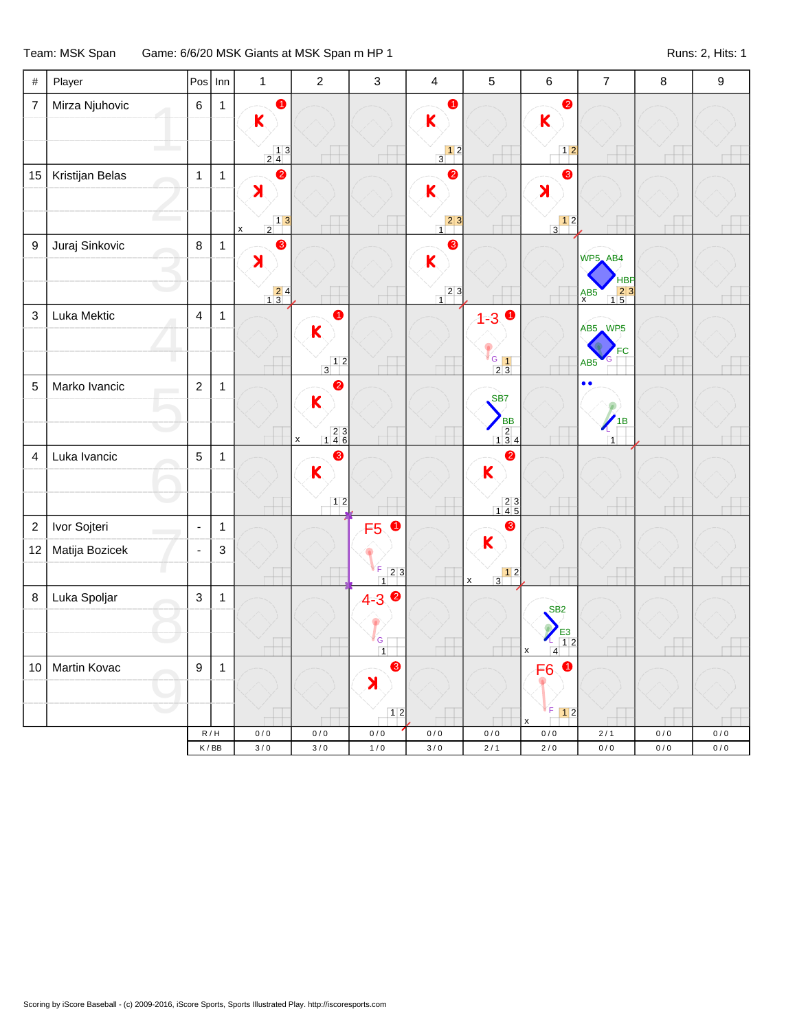## Team: MSK Span Game: 6/6/20 MSK Giants at MSK Span m HP 1 Came and Controller and Controller Runs: 2, Hits: 1

| $\#$             | Player          |                         | $Pos$ Inn    | $\mathbf 1$                                                                      | $\overline{2}$                           | 3                               | $\overline{4}$                                                         | 5                                                                        | $\,6\,$                                  | $\overline{7}$                    | $\bf 8$ | $\boldsymbol{9}$ |
|------------------|-----------------|-------------------------|--------------|----------------------------------------------------------------------------------|------------------------------------------|---------------------------------|------------------------------------------------------------------------|--------------------------------------------------------------------------|------------------------------------------|-----------------------------------|---------|------------------|
| $\overline{7}$   | Mirza Njuhovic  | $\,6\,$                 | $\mathbf{1}$ | $\bullet$<br>$\mathsf K$                                                         |                                          |                                 | $\bullet$<br>K                                                         |                                                                          | $\bullet$<br>$\overline{\mathsf{K}}$     |                                   |         |                  |
|                  |                 |                         |              | $\begin{array}{c c} & 1 & 3 \\ 2 & 4 & \end{array}$                              |                                          |                                 | $\begin{array}{c c} & 1 & 2 \\ \hline 3 & & \end{array}$               |                                                                          | $\boxed{1}$                              |                                   |         |                  |
| 15               | Kristijan Belas | $\mathbf{1}$            | $\mathbf{1}$ | $\bullet$<br>$\lambda$                                                           |                                          |                                 | 2<br>K                                                                 |                                                                          | ❸<br>$\blacktriangleright$               |                                   |         |                  |
|                  |                 |                         |              | $\begin{array}{c c} & 1 & 3 \\ \hline 2 & & \end{array}$<br>$\mathsf{x}$         |                                          |                                 | $\begin{array}{c c} 2 & 3 \\ 1 & 3 \end{array}$                        |                                                                          | $\begin{array}{c c} & 1 & 2 \end{array}$ |                                   |         |                  |
| 9                | Juraj Sinkovic  | $\,8\,$                 | $\mathbf{1}$ | 8<br>$\lambda$                                                                   |                                          |                                 | ❸<br>$\overline{\mathsf{K}}$<br>$\begin{array}{c c} 2 & 3 \end{array}$ |                                                                          |                                          | WP5_AB4<br><b>HBP</b>             |         |                  |
| $\mathsf 3$      | Luka Mektic     | $\overline{\mathbf{4}}$ | $\mathbf{1}$ | $\begin{array}{c} \n \begin{array}{c} 2 & 4 \\ 1 & 3 \end{array} \n \end{array}$ | $\bullet$                                |                                 |                                                                        | $\bullet$                                                                |                                          | $\frac{15}{15}$<br>A <sub>X</sub> |         |                  |
|                  |                 |                         |              |                                                                                  | $\overline{\mathsf{K}}$                  |                                 |                                                                        | $1 - 3$                                                                  |                                          | AB5 WP5                           |         |                  |
|                  |                 |                         |              |                                                                                  | $\begin{array}{c c} & 1 & 2 \end{array}$ |                                 |                                                                        | $rac{G}{2}$ $rac{1}{3}$                                                  |                                          | FC<br>AB <sub>5</sub>             |         |                  |
| 5                | Marko Ivancic   | $\mathbf 2$             | $\mathbf{1}$ |                                                                                  | 2                                        |                                 |                                                                        |                                                                          |                                          | $\bullet$                         |         |                  |
|                  |                 |                         |              |                                                                                  | $\mathsf{K}$                             |                                 |                                                                        | SB7                                                                      |                                          |                                   |         |                  |
|                  |                 |                         |              |                                                                                  | $\begin{array}{c} 23 \\ 146 \end{array}$ |                                 |                                                                        | <b>BB</b><br>$\begin{array}{r} 2 \\ 1 \ 3 \ 4 \end{array}$               |                                          | $\sqrt{18}$                       |         |                  |
| $\overline{4}$   | Luka Ivancic    | $\overline{5}$          | $\mathbf{1}$ |                                                                                  | $\pmb{\mathsf{x}}$<br>3                  |                                 |                                                                        | $\bullet$                                                                |                                          | $\overline{1}$                    |         |                  |
|                  |                 |                         |              |                                                                                  | $\overline{\mathsf{K}}$                  |                                 |                                                                        | K                                                                        |                                          |                                   |         |                  |
|                  |                 |                         |              |                                                                                  | $\boxed{1}$                              |                                 |                                                                        |                                                                          |                                          |                                   |         |                  |
|                  |                 |                         |              |                                                                                  |                                          |                                 |                                                                        | $\begin{array}{c} 23 \\ 145 \end{array}$                                 |                                          |                                   |         |                  |
| $\boldsymbol{2}$ | Ivor Sojteri    | $\blacksquare$          | $\mathbf{1}$ |                                                                                  |                                          | $\bullet$<br>F <sub>5</sub>     |                                                                        | 6<br>$\mathsf{K}$                                                        |                                          |                                   |         |                  |
| 12               | Matija Bozicek  | $\Box$                  | 3            |                                                                                  |                                          |                                 |                                                                        |                                                                          |                                          |                                   |         |                  |
|                  |                 |                         |              |                                                                                  |                                          | F<br>23<br>$\overline{1}$       |                                                                        | $\begin{array}{c c} & 1 & 2 \\ \hline 3 & & \end{array}$<br>$\mathsf{x}$ |                                          |                                   |         |                  |
| $\bf8$           | Luka Spoljar    | $\mathbf{3}$            | $\mathbf{1}$ |                                                                                  |                                          | 2<br>$4 - 3$                    |                                                                        |                                                                          | SB <sub>2</sub>                          |                                   |         |                  |
|                  |                 |                         |              |                                                                                  |                                          |                                 |                                                                        |                                                                          | E <sub>3</sub>                           |                                   |         |                  |
|                  |                 |                         |              |                                                                                  |                                          | ${\mathsf G}$<br>$\overline{1}$ |                                                                        |                                                                          | 1 <sup>2</sup><br>$\overline{4}$<br>X    |                                   |         |                  |
| 10               | Martin Kovac    | $\boldsymbol{9}$        | $\mathbf{1}$ |                                                                                  |                                          | ❸                               |                                                                        |                                                                          | $\bullet$<br>F <sub>6</sub>              |                                   |         |                  |
|                  |                 |                         |              |                                                                                  |                                          | $\blacktriangleright$           |                                                                        |                                                                          |                                          |                                   |         |                  |
|                  |                 |                         |              |                                                                                  |                                          | $12$                            |                                                                        |                                                                          | F<br>$\boxed{1}$                         |                                   |         |                  |
|                  |                 |                         | R/H          | 0/0                                                                              | 0/0                                      | 0/0                             | 0/0                                                                    | 0/0                                                                      | 0/0                                      | 2/1                               | 0/0     | 0/0              |
|                  |                 |                         | K/BB         | 3/0                                                                              | 3/0                                      | 1/0                             | 3/0                                                                    | 2/1                                                                      | 2/0                                      | 0/0                               | 0/0     | 0/0              |